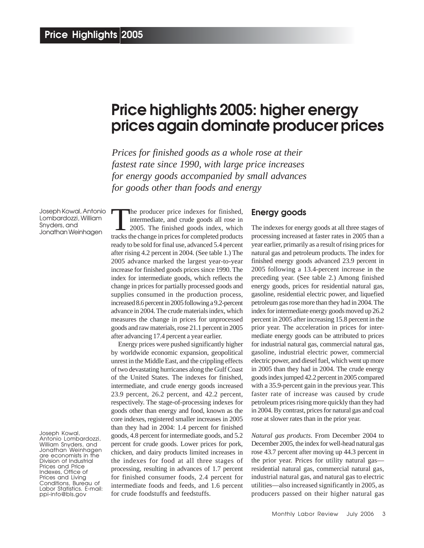# **Price highlights 2005: higher energy prices again dominate producer prices**

*Prices for finished goods as a whole rose at their fastest rate since 1990, with large price increases for energy goods accompanied by small advances for goods other than foods and energy*

Joseph Kowal, Antonio Lombardozzi, William Snyders, and Jonathan Weinhagen

Joseph Kowal,

Antonio Lombardozzi, William Snyders, and Jonathan Weinhagen are economists in the Division of Industrial Prices and Price Indexes, Office of Prices and Living Conditions, Bureau of Labor Statistics. E-mail: ppi-info@bls.gov

The producer price indexes for finished,<br>
intermediate, and crude goods all rose in<br>
2005. The finished goods index, which<br>
trocks the change in prices for completed products intermediate, and crude goods all rose in tracks the change in prices for completed products ready to be sold for final use, advanced 5.4 percent after rising 4.2 percent in 2004. (See table 1.) The 2005 advance marked the largest year-to-year increase for finished goods prices since 1990. The index for intermediate goods, which reflects the change in prices for partially processed goods and supplies consumed in the production process, increased 8.6 percent in 2005 following a 9.2-percent advance in 2004. The crude materials index, which measures the change in prices for unprocessed goods and raw materials, rose 21.1 percent in 2005 after advancing 17.4 percent a year earlier.

Energy prices were pushed significantly higher by worldwide economic expansion, geopolitical unrest in the Middle East, and the crippling effects of two devastating hurricanes along the Gulf Coast of the United States. The indexes for finished, intermediate, and crude energy goods increased 23.9 percent, 26.2 percent, and 42.2 percent, respectively. The stage-of-processing indexes for goods other than energy and food, known as the core indexes, registered smaller increases in 2005 than they had in 2004: 1.4 percent for finished goods, 4.8 percent for intermediate goods, and 5.2 percent for crude goods. Lower prices for pork, chicken, and dairy products limited increases in the indexes for food at all three stages of processing, resulting in advances of 1.7 percent for finished consumer foods, 2.4 percent for intermediate foods and feeds, and 1.6 percent for crude foodstuffs and feedstuffs.

## **Energy goods**

The indexes for energy goods at all three stages of processing increased at faster rates in 2005 than a year earlier, primarily as a result of rising prices for natural gas and petroleum products. The index for finished energy goods advanced 23.9 percent in 2005 following a 13.4-percent increase in the preceding year. (See table 2.) Among finished energy goods, prices for residential natural gas, gasoline, residential electric power, and liquefied petroleum gas rose more than they had in 2004. The index for intermediate energy goods moved up 26.2 percent in 2005 after increasing 15.8 percent in the prior year. The acceleration in prices for intermediate energy goods can be attributed to prices for industrial natural gas, commercial natural gas, gasoline, industrial electric power, commercial electric power, and diesel fuel, which went up more in 2005 than they had in 2004. The crude energy goods index jumped 42.2 percent in 2005 compared with a 35.9-percent gain in the previous year. This faster rate of increase was caused by crude petroleum prices rising more quickly than they had in 2004. By contrast, prices for natural gas and coal rose at slower rates than in the prior year.

*Natural gas products*. From December 2004 to December 2005, the index for well-head natural gas rose 43.7 percent after moving up 44.3 percent in the prior year. Prices for utility natural gas residential natural gas, commercial natural gas, industrial natural gas, and natural gas to electric utilities—also increased significantly in 2005, as producers passed on their higher natural gas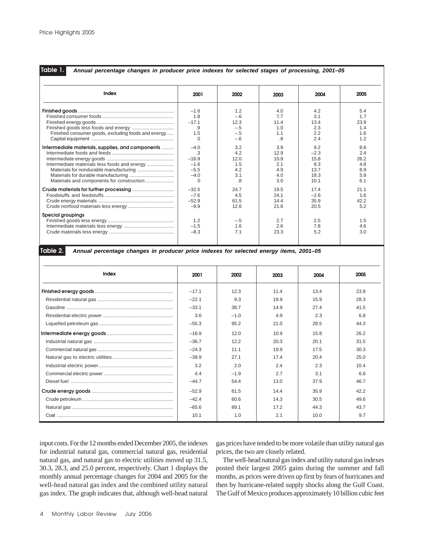## **Table 1.**

#### *Annual percentage changes in producer price indexes for selected stages of processing, 2001–05*

| Index                                               | 2001      | 2002  | 2003 | 2004   | 2005 |  |
|-----------------------------------------------------|-----------|-------|------|--------|------|--|
|                                                     | $-1.6$    | 1.2   | 4.0  | 4.2    | 5.4  |  |
|                                                     | 1.8       | $-.6$ | 7.7  | 3.1    | 1.7  |  |
|                                                     | $-17.1$   | 12.3  | 11.4 | 13.4   | 23.9 |  |
|                                                     | .9        | $-.5$ | 1.0  | 2.3    | 1.4  |  |
| Finished consumer goods, excluding foods and energy | 1.5       | $-.5$ | 1.1  | 2.2    | 1.6  |  |
|                                                     | $\Omega$  | $-.6$ | .8   | 2.4    | 1.2  |  |
| Intermediate materials, supplies, and components    | $-4.0$    | 3.2   | 3.9  | 9.2    | 8.6  |  |
|                                                     | $\cdot$ 3 | 4.2   | 12.9 | $-2.3$ | 2.4  |  |
|                                                     | $-16.9$   | 12.0  | 10.9 | 15.8   | 26.2 |  |
|                                                     | $-1.6$    | 1.5   | 2.1  | 8.3    | 4.8  |  |
|                                                     | $-5.5$    | 4.2   | 4.9  | 13.7   | 8.9  |  |
|                                                     | $-4.0$    | 3.1   | 4.0  | 18.3   | 5.9  |  |
|                                                     | $\Omega$  | .8    | 3.0  | 10.1   | 6.1  |  |
|                                                     | $-32.5$   | 24.7  | 19.5 | 17.4   | 21.1 |  |
|                                                     | $-7.6$    | 4.5   | 24.1 | $-2.6$ | 1.6  |  |
|                                                     | $-52.9$   | 61.5  | 14.4 | 35.9   | 42.2 |  |
|                                                     | $-9.9$    | 12.6  | 21.6 | 20.5   | 5.2  |  |
| <b>Special groupings</b>                            |           |       |      |        |      |  |
|                                                     | 1.2       | $-.5$ | 2.7  | 2.5    | 1.5  |  |
|                                                     | $-1.5$    | 1.6   | 2.6  | 7.8    | 4.6  |  |
|                                                     | $-8.3$    | 7.1   | 23.3 | 5.2    | 3.0  |  |
|                                                     |           |       |      |        |      |  |

## **Table 2.**

*Annual percentage changes in producer price indexes for selected energy items, 2001–05*

| Index | 2001    | 2002   | 2003 | 2004 | 2005 |
|-------|---------|--------|------|------|------|
|       | $-17.1$ | 12.3   | 11.4 | 13.4 | 23.9 |
|       | $-22.1$ | 9.3    | 19.9 | 15.9 | 28.3 |
|       | $-33.1$ | 38.7   | 14.9 | 27.4 | 41.5 |
|       | 3.6     | $-1.0$ | 4.9  | 2.3  | 6.8  |
|       | $-55.3$ | 95.2   | 21.0 | 28.5 | 44.3 |
|       | $-16.9$ | 12.0   | 10.9 | 15.8 | 26.2 |
|       | $-36.7$ | 12.2   | 20.3 | 20.1 | 31.5 |
|       | $-24.3$ | 11.1   | 19.9 | 17.5 | 30.3 |
|       | $-39.9$ | 27.1   | 174  | 20.4 | 25.0 |
|       | 3.2     | 2.0    | 2.4  | 2.3  | 10.4 |
|       | 4.4     | $-1.9$ | 2.7  | 3.1  | 6.6  |
|       | $-44.7$ | 54.4   | 13.0 | 37.9 | 46.7 |
|       | $-52.9$ | 61.5   | 14.4 | 35.9 | 42.2 |
|       | $-42.4$ | 60.6   | 14.3 | 30.5 | 49.6 |
|       | $-65.6$ | 89.1   | 17.2 | 44.3 | 43.7 |
|       | 10.1    | 1.0    | 2.1  | 10.0 | 9.7  |

input costs. For the 12 months ended December 2005, the indexes for industrial natural gas, commercial natural gas, residential natural gas, and natural gas to electric utilities moved up 31.5, 30.3, 28.3, and 25.0 percent, respectively. Chart 1 displays the monthly annual percentage changes for 2004 and 2005 for the well-head natural gas index and the combined utility natural gas index. The graph indicates that, although well-head natural

gas prices have tended to be more volatile than utility natural gas prices, the two are closely related.

The well-head natural gas index and utility natural gas indexes posted their largest 2005 gains during the summer and fall months, as prices were driven up first by fears of hurricanes and then by hurricane-related supply shocks along the Gulf Coast. The Gulf of Mexico produces approximately 10 billion cubic feet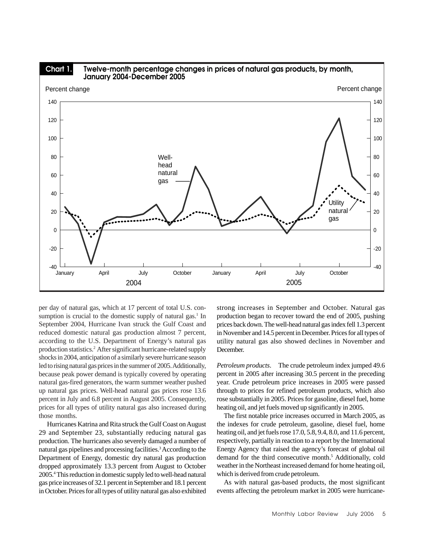

per day of natural gas, which at 17 percent of total U.S. consumption is crucial to the domestic supply of natural gas.<sup>1</sup> In September 2004, Hurricane Ivan struck the Gulf Coast and reduced domestic natural gas production almost 7 percent, according to the U.S. Department of Energy's natural gas production statistics.2 After significant hurricane-related supply shocks in 2004, anticipation of a similarly severe hurricane season led to rising natural gas prices in the summer of 2005. Additionally, because peak power demand is typically covered by operating natural gas-fired generators, the warm summer weather pushed up natural gas prices. Well-head natural gas prices rose 13.6 percent in July and 6.8 percent in August 2005. Consequently, prices for all types of utility natural gas also increased during those months.

 Hurricanes Katrina and Rita struck the Gulf Coast on August 29 and September 23, substantially reducing natural gas production. The hurricanes also severely damaged a number of natural gas pipelines and processing facilities.3 According to the Department of Energy, domestic dry natural gas production dropped approximately 13.3 percent from August to October 2005.4 This reduction in domestic supply led to well-head natural gas price increases of 32.1 percent in September and 18.1 percent in October. Prices for all types of utility natural gas also exhibited

strong increases in September and October. Natural gas production began to recover toward the end of 2005, pushing prices back down. The well-head natural gas index fell 1.3 percent in November and 14.5 percent in December. Prices for all types of utility natural gas also showed declines in November and December.

*Petroleum products*. The crude petroleum index jumped 49.6 percent in 2005 after increasing 30.5 percent in the preceding year. Crude petroleum price increases in 2005 were passed through to prices for refined petroleum products, which also rose substantially in 2005. Prices for gasoline, diesel fuel, home heating oil, and jet fuels moved up significantly in 2005.

The first notable price increases occurred in March 2005, as the indexes for crude petroleum, gasoline, diesel fuel, home heating oil, and jet fuels rose 17.0, 5.8, 9.4, 8.0, and 11.6 percent, respectively, partially in reaction to a report by the International Energy Agency that raised the agency's forecast of global oil demand for the third consecutive month.<sup>5</sup> Additionally, cold weather in the Northeast increased demand for home heating oil, which is derived from crude petroleum.

As with natural gas-based products, the most significant events affecting the petroleum market in 2005 were hurricane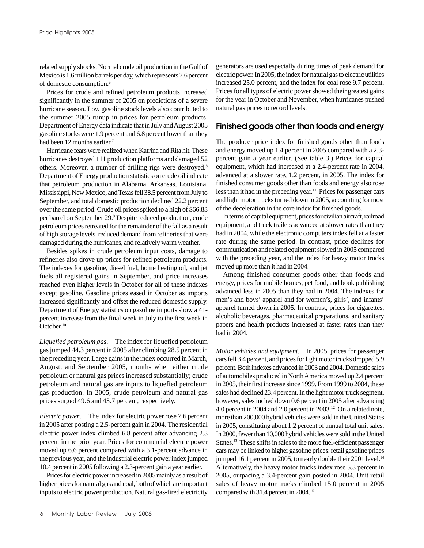related supply shocks. Normal crude oil production in the Gulf of Mexico is 1.6 million barrels per day, which represents 7.6 percent of domestic consumption.6

Prices for crude and refined petroleum products increased significantly in the summer of 2005 on predictions of a severe hurricane season. Low gasoline stock levels also contributed to the summer 2005 runup in prices for petroleum products. Department of Energy data indicate that in July and August 2005 gasoline stocks were 1.9 percent and 6.8 percent lower than they had been 12 months earlier.<sup>7</sup>

Hurricane fears were realized when Katrina and Rita hit. These hurricanes destroyed 111 production platforms and damaged 52 others. Moreover, a number of drilling rigs were destroyed.8 Department of Energy production statistics on crude oil indicate that petroleum production in Alabama, Arkansas, Louisiana, Mississippi, New Mexico, and Texas fell 38.5 percent from July to September, and total domestic production declined 22.2 percent over the same period. Crude oil prices spiked to a high of \$66.83 per barrel on September 29.<sup>9</sup> Despite reduced production, crude petroleum prices retreated for the remainder of the fall as a result of high storage levels, reduced demand from refineries that were damaged during the hurricanes, and relatively warm weather.

Besides spikes in crude petroleum input costs, damage to refineries also drove up prices for refined petroleum products. The indexes for gasoline, diesel fuel, home heating oil, and jet fuels all registered gains in September, and price increases reached even higher levels in October for all of these indexes except gasoline. Gasoline prices eased in October as imports increased significantly and offset the reduced domestic supply. Department of Energy statistics on gasoline imports show a 41 percent increase from the final week in July to the first week in October.<sup>10</sup>

*Liquefied petroleum gas*. The index for liquefied petroleum gas jumped 44.3 percent in 2005 after climbing 28.5 percent in the preceding year. Large gains in the index occurred in March, August, and September 2005, months when either crude petroleum or natural gas prices increased substantially; crude petroleum and natural gas are inputs to liquefied petroleum gas production. In 2005, crude petroleum and natural gas prices surged 49.6 and 43.7 percent, respectively.

*Electric power*. The index for electric power rose 7.6 percent in 2005 after posting a 2.5-percent gain in 2004. The residential electric power index climbed 6.8 percent after advancing 2.3 percent in the prior year. Prices for commercial electric power moved up 6.6 percent compared with a 3.1-percent advance in the previous year, and the industrial electric power index jumped 10.4 percent in 2005 following a 2.3-percent gain a year earlier.

Prices for electric power increased in 2005 mainly as a result of higher prices for natural gas and coal, both of which are important inputs to electric power production. Natural gas-fired electricity

generators are used especially during times of peak demand for electric power. In 2005, the index for natural gas to electric utilities increased 25.0 percent, and the index for coal rose 9.7 percent. Prices for all types of electric power showed their greatest gains for the year in October and November, when hurricanes pushed natural gas prices to record levels.

# **Finished goods other than foods and energy**

The producer price index for finished goods other than foods and energy moved up 1.4 percent in 2005 compared with a 2.3 percent gain a year earlier. (See table 3.) Prices for capital equipment, which had increased at a 2.4-percent rate in 2004, advanced at a slower rate, 1.2 percent, in 2005. The index for finished consumer goods other than foods and energy also rose less than it had in the preceding year.<sup>11</sup> Prices for passenger cars and light motor trucks turned down in 2005, accounting for most of the deceleration in the core index for finished goods.

In terms of capital equipment, prices for civilian aircraft, railroad equipment, and truck trailers advanced at slower rates than they had in 2004, while the electronic computers index fell at a faster rate during the same period. In contrast, price declines for communication and related equipment slowed in 2005 compared with the preceding year, and the index for heavy motor trucks moved up more than it had in 2004.

Among finished consumer goods other than foods and energy, prices for mobile homes, pet food, and book publishing advanced less in 2005 than they had in 2004. The indexes for men's and boys' apparel and for women's, girls', and infants' apparel turned down in 2005. In contrast, prices for cigarettes, alcoholic beverages, pharmaceutical preparations, and sanitary papers and health products increased at faster rates than they had in 2004.

*Motor vehicles and equipment*. In 2005, prices for passenger cars fell 3.4 percent, and prices for light motor trucks dropped 5.9 percent. Both indexes advanced in 2003 and 2004. Domestic sales of automobiles produced in North America moved up 2.4 percent in 2005, their first increase since 1999. From 1999 to 2004, these sales had declined 23.4 percent. In the light motor truck segment, however, sales inched down 0.6 percent in 2005 after advancing 4.0 percent in 2004 and 2.0 percent in 2003.<sup>12</sup> On a related note, more than 200,000 hybrid vehicles were sold in the United States in 2005, constituting about 1.2 percent of annual total unit sales. In 2000, fewer than 10,000 hybrid vehicles were sold in the United States.<sup>13</sup> These shifts in sales to the more fuel-efficient passenger cars may be linked to higher gasoline prices: retail gasoline prices jumped 16.1 percent in 2005, to nearly double their 2001 level.<sup>14</sup> Alternatively, the heavy motor trucks index rose 5.3 percent in 2005, outpacing a 3.4-percent gain posted in 2004. Unit retail sales of heavy motor trucks climbed 15.0 percent in 2005 compared with 31.4 percent in 2004.15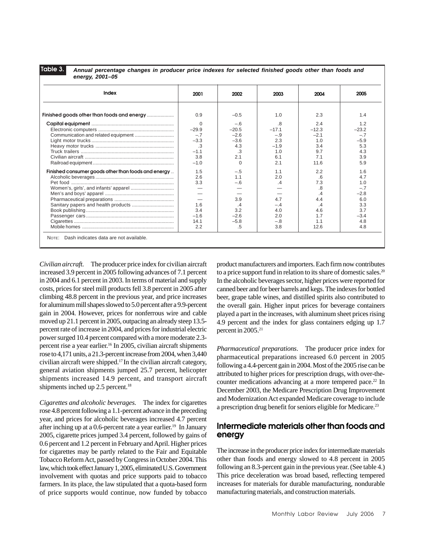**Table 3.**

*Annual percentage changes in producer price indexes for selected finished goods other than foods and energy, 2001–05*

| Index                                               | 2001     | 2002     | 2003    | 2004    | 2005    |
|-----------------------------------------------------|----------|----------|---------|---------|---------|
| Finished goods other than foods and energy          | 0.9      | $-0.5$   | 1.0     | 2.3     | 1.4     |
|                                                     | $\Omega$ | $-.6$    | .8      | 2.4     | 1.2     |
|                                                     | $-29.9$  | $-20.5$  | $-17.1$ | $-12.3$ | $-23.2$ |
|                                                     | $-.7$    | $-2.6$   | $-.9$   | $-2.1$  | $-.7$   |
|                                                     | $-3.3$   | $-3.6$   | 2.3     | 10      | $-5.9$  |
|                                                     | .3       | 4.3      | $-1.9$  | 3.4     | 5.3     |
|                                                     | $-1.1$   | .3       | 1.0     | 9.7     | 4.3     |
|                                                     | 3.8      | 2.1      | 6.1     | 7.1     | 3.9     |
|                                                     | $-1.0$   | $\Omega$ | 2.1     | 11.6    | 5.9     |
| Finished consumer goods other than foods and energy | 1.5      | $-.5$    | 1.1     | 2.2     | 1.6     |
|                                                     | 2.6      | 1.1      | 2.0     | .6      | 4.7     |
|                                                     | 3.3      | $-.6$    | $\cdot$ | 7.3     | 1.0     |
|                                                     |          |          |         | .8      | $-.7$   |
|                                                     |          |          |         |         | $-2.8$  |
|                                                     |          | 3.9      | 4.7     | 4.4     | 6.0     |
|                                                     | 1.6      |          | $-.4$   |         | 3.3     |
|                                                     | 3.4      | 3.2      | 4.0     | 4.6     | 3.7     |
|                                                     | $-1.6$   | $-2.6$   | 2.0     | 17      | $-3.4$  |
|                                                     | 14.1     | $-5.8$   | $-.8$   | 11      | 4.8     |
|                                                     | 2.2      | .5       | 3.8     | 12.6    | 4.8     |

*Civilian aircraft*. The producer price index for civilian aircraft increased 3.9 percent in 2005 following advances of 7.1 percent in 2004 and 6.1 percent in 2003. In terms of material and supply costs, prices for steel mill products fell 3.8 percent in 2005 after climbing 48.8 percent in the previous year, and price increases for aluminum mill shapes slowed to 5.0 percent after a 9.9-percent gain in 2004. However, prices for nonferrous wire and cable moved up 21.1 percent in 2005, outpacing an already steep 13.5 percent rate of increase in 2004, and prices for industrial electric power surged 10.4 percent compared with a more moderate 2.3 percent rise a year earlier.<sup>16</sup> In 2005, civilian aircraft shipments rose to 4,171 units, a 21.3-percent increase from 2004, when 3,440 civilian aircraft were shipped.17 In the civilian aircraft category, general aviation shipments jumped 25.7 percent, helicopter shipments increased 14.9 percent, and transport aircraft shipments inched up 2.5 percent.<sup>18</sup>

*Cigarettes and alcoholic beverages*. The index for cigarettes rose 4.8 percent following a 1.1-percent advance in the preceding year, and prices for alcoholic beverages increased 4.7 percent after inching up at a  $0.6$ -percent rate a year earlier.<sup>19</sup> In January 2005, cigarette prices jumped 3.4 percent, followed by gains of 0.6 percent and 1.2 percent in February and April. Higher prices for cigarettes may be partly related to the Fair and Equitable Tobacco Reform Act, passed by Congress in October 2004. This law, which took effect January 1, 2005, eliminated U.S. Government involvement with quotas and price supports paid to tobacco farmers. In its place, the law stipulated that a quota-based form of price supports would continue, now funded by tobacco

product manufacturers and importers. Each firm now contributes to a price support fund in relation to its share of domestic sales.<sup>20</sup> In the alcoholic beverages sector, higher prices were reported for canned beer and for beer barrels and kegs. The indexes for bottled beer, grape table wines, and distilled spirits also contributed to the overall gain. Higher input prices for beverage containers played a part in the increases, with aluminum sheet prices rising 4.9 percent and the index for glass containers edging up 1.7 percent in 2005.<sup>21</sup>

*Pharmaceutical preparations*. The producer price index for pharmaceutical preparations increased 6.0 percent in 2005 following a 4.4-percent gain in 2004. Most of the 2005 rise can be attributed to higher prices for prescription drugs, with over-thecounter medications advancing at a more tempered pace.<sup>22</sup> In December 2003, the Medicare Prescription Drug Improvement and Modernization Act expanded Medicare coverage to include a prescription drug benefit for seniors eligible for Medicare.<sup>23</sup>

# **Intermediate materials other than foods and energy**

The increase in the producer price index for intermediate materials other than foods and energy slowed to 4.8 percent in 2005 following an 8.3-percent gain in the previous year. (See table 4.) This price deceleration was broad based, reflecting tempered increases for materials for durable manufacturing, nondurable manufacturing materials, and construction materials.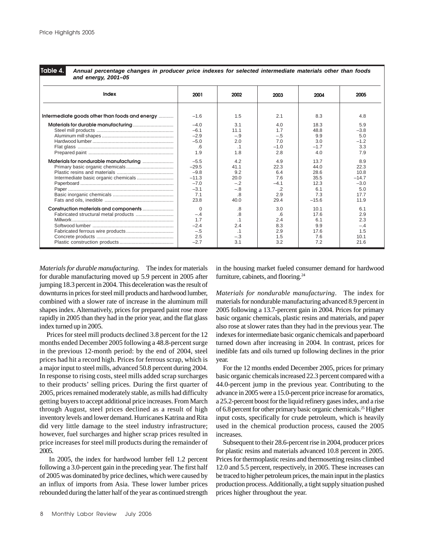**Table 4.**

*Annual percentage changes in producer price indexes for selected intermediate materials other than foods and energy, 2001–05*

| unu vnvryj, 2001–00                            |          |           |         |         |         |
|------------------------------------------------|----------|-----------|---------|---------|---------|
| Index                                          | 2001     | 2002      | 2003    | 2004    | 2005    |
| Intermediate goods other than foods and energy | $-1.6$   | 1.5       | 2.1     | 8.3     | 4.8     |
|                                                | $-4.0$   | 3.1       | 4.0     | 18.3    | 5.9     |
|                                                | $-6.1$   | 11.1      | 1.7     | 48.8    | $-3.8$  |
|                                                | $-2.9$   | $-.9$     | $-.5$   | 9.9     | 5.0     |
|                                                | $-5.0$   | 2.0       | 7.0     | 3.0     | $-1.2$  |
|                                                | .6       | $\cdot$ 1 | $-1.0$  | $-1.7$  | 3.3     |
|                                                | 1.9      | 1.8       | 2.8     | 4.0     | 7.9     |
|                                                | $-5.5$   | 4.2       | 4.9     | 13.7    | 8.9     |
|                                                | $-29.5$  | 41.1      | 22.3    | 44.0    | 22.3    |
|                                                | $-9.8$   | 9.2       | 6.4     | 28.6    | 10.8    |
|                                                | $-11.3$  | 20.0      | 7.6     | 35.5    | $-14.7$ |
|                                                | $-7.0$   | $-.2$     | $-4.1$  | 12.3    | $-3.0$  |
|                                                | $-3.1$   | $-.8$     | $\cdot$ | 6.1     | 5.0     |
|                                                | 7.1      | .8        | 2.9     | 7.3     | 17.7    |
|                                                | 23.8     | 40.0      | 29.4    | $-15.6$ | 11.9    |
| Construction materials and components          | $\Omega$ | .8        | 3.0     | 10.1    | 6.1     |
|                                                | $-.4$    | .8        | .6      | 17.6    | 2.9     |
|                                                | 1.7      | $\cdot$ 1 | 2.4     | 6.1     | 2.3     |
|                                                | $-2.4$   | 2.4       | 8.3     | 9.9     | $-.4$   |
|                                                | $-.5$    | .1        | 2.9     | 17.6    | 1.5     |
|                                                | 2.5      | $-.3$     | 1.5     | 7.6     | 10.1    |
|                                                | $-2.7$   | 3.1       | 3.2     | 7.2     | 21.6    |

*Materials for durable manufacturing*. The index for materials for durable manufacturing moved up 5.9 percent in 2005 after jumping 18.3 percent in 2004. This deceleration was the result of downturns in prices for steel mill products and hardwood lumber, combined with a slower rate of increase in the aluminum mill shapes index. Alternatively, prices for prepared paint rose more rapidly in 2005 than they had in the prior year, and the flat glass index turned up in 2005.

Prices for steel mill products declined 3.8 percent for the 12 months ended December 2005 following a 48.8-percent surge in the previous 12-month period: by the end of 2004, steel prices had hit a record high. Prices for ferrous scrap, which is a major input to steel mills, advanced 50.8 percent during 2004. In response to rising costs, steel mills added scrap surcharges to their products' selling prices. During the first quarter of 2005, prices remained moderately stable, as mills had difficulty getting buyers to accept additional price increases. From March through August, steel prices declined as a result of high inventory levels and lower demand. Hurricanes Katrina and Rita did very little damage to the steel industry infrastructure; however, fuel surcharges and higher scrap prices resulted in price increases for steel mill products during the remainder of 2005.

 In 2005, the index for hardwood lumber fell 1.2 percent following a 3.0-percent gain in the preceding year. The first half of 2005 was dominated by price declines, which were caused by an influx of imports from Asia. These lower lumber prices rebounded during the latter half of the year as continued strength

in the housing market fueled consumer demand for hardwood furniture, cabinets, and flooring.24

*Materials for nondurable manufacturing*. The index for materials for nondurable manufacturing advanced 8.9 percent in 2005 following a 13.7-percent gain in 2004. Prices for primary basic organic chemicals, plastic resins and materials, and paper also rose at slower rates than they had in the previous year. The indexes for intermediate basic organic chemicals and paperboard turned down after increasing in 2004. In contrast, prices for inedible fats and oils turned up following declines in the prior year.

For the 12 months ended December 2005, prices for primary basic organic chemicals increased 22.3 percent compared with a 44.0-percent jump in the previous year. Contributing to the advance in 2005 were a 15.0-percent price increase for aromatics, a 25.2-percent boost for the liquid refinery gases index, and a rise of 6.8 percent for other primary basic organic chemicals.25 Higher input costs, specifically for crude petroleum, which is heavily used in the chemical production process, caused the 2005 increases.

Subsequent to their 28.6-percent rise in 2004, producer prices for plastic resins and materials advanced 10.8 percent in 2005. Prices for thermoplastic resins and thermosetting resins climbed 12.0 and 5.5 percent, respectively, in 2005. These increases can be traced to higher petroleum prices, the main input in the plastics production process. Additionally, a tight supply situation pushed prices higher throughout the year.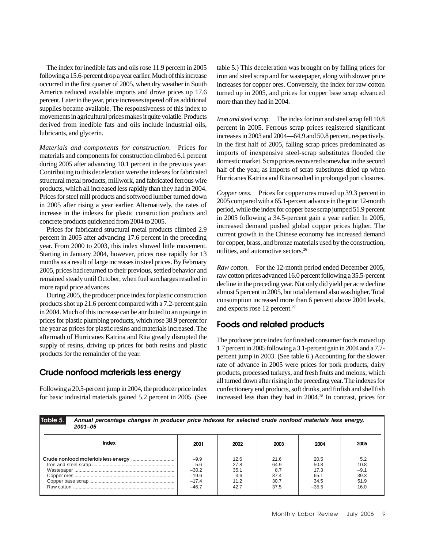The index for inedible fats and oils rose 11.9 percent in 2005 following a 15.6-percent drop a year earlier. Much of this increase occurred in the first quarter of 2005, when dry weather in South America reduced available imports and drove prices up 17.6 percent. Later in the year, price increases tapered off as additional supplies became available. The responsiveness of this index to movements in agricultural prices makes it quite volatile. Products derived from inedible fats and oils include industrial oils, lubricants, and glycerin.

*Materials and components for construction*. Prices for materials and components for construction climbed 6.1 percent during 2005 after advancing 10.1 percent in the previous year. Contributing to this deceleration were the indexes for fabricated structural metal products, millwork, and fabricated ferrous wire products, which all increased less rapidly than they had in 2004. Prices for steel mill products and softwood lumber turned down in 2005 after rising a year earlier. Alternatively, the rates of increase in the indexes for plastic construction products and concrete products quickened from 2004 to 2005.

Prices for fabricated structural metal products climbed 2.9 percent in 2005 after advancing 17.6 percent in the preceding year. From 2000 to 2003, this index showed little movement. Starting in January 2004, however, prices rose rapidly for 13 months as a result of large increases in steel prices. By February 2005, prices had returned to their previous, settled behavior and remained steady until October, when fuel surcharges resulted in more rapid price advances.

During 2005, the producer price index for plastic construction products shot up 21.6 percent compared with a 7.2-percent gain in 2004. Much of this increase can be attributed to an upsurge in prices for plastic plumbing products, which rose 38.9 percent for the year as prices for plastic resins and materials increased. The aftermath of Hurricanes Katrina and Rita greatly disrupted the supply of resins, driving up prices for both resins and plastic products for the remainder of the year.

# **Crude nonfood materials less energy**

Following a 20.5-percent jump in 2004, the producer price index for basic industrial materials gained 5.2 percent in 2005. (See table 5.) This deceleration was brought on by falling prices for iron and steel scrap and for wastepaper, along with slower price increases for copper ores. Conversely, the index for raw cotton turned up in 2005, and prices for copper base scrap advanced more than they had in 2004.

*Iron and steel scrap*. The index for iron and steel scrap fell 10.8 percent in 2005. Ferrous scrap prices registered significant increases in 2003 and 2004—64.9 and 50.8 percent, respectively. In the first half of 2005, falling scrap prices predominated as imports of inexpensive steel-scrap substitutes flooded the domestic market. Scrap prices recovered somewhat in the second half of the year, as imports of scrap substitutes dried up when Hurricanes Katrina and Rita resulted in prolonged port closures.

*Copper ores*. Prices for copper ores moved up 39.3 percent in 2005 compared with a 65.1-percent advance in the prior 12-month period, while the index for copper base scrap jumped 51.9 percent in 2005 following a 34.5-percent gain a year earlier. In 2005, increased demand pushed global copper prices higher. The current growth in the Chinese economy has increased demand for copper, brass, and bronze materials used by the construction, utilities, and automotive sectors.26

*Raw cotton*. For the 12-month period ended December 2005, raw cotton prices advanced 16.0 percent following a 35.5-percent decline in the preceding year. Not only did yield per acre decline almost 5 percent in 2005, but total demand also was higher. Total consumption increased more than 6 percent above 2004 levels, and exports rose 12 percent.<sup>27</sup>

# **Foods and related products**

The producer price index for finished consumer foods moved up 1.7 percent in 2005 following a 3.1-percent gain in 2004 and a 7.7 percent jump in 2003. (See table 6.) Accounting for the slower rate of advance in 2005 were prices for pork products, dairy products, processed turkeys, and fresh fruits and melons, which all turned down after rising in the preceding year. The indexes for confectionery end products, soft drinks, and finfish and shellfish increased less than they had in 2004.28 In contrast, prices for

| Table 5.<br>Annual percentage changes in producer price indexes for selected crude nonfood materials less energy,<br>$2001 - 05$ |                                                              |                                             |                                             |                                                 |                                                  |
|----------------------------------------------------------------------------------------------------------------------------------|--------------------------------------------------------------|---------------------------------------------|---------------------------------------------|-------------------------------------------------|--------------------------------------------------|
| Index                                                                                                                            | 2001                                                         | 2002                                        | 2003                                        | 2004                                            | 2005                                             |
|                                                                                                                                  | $-9.9$<br>$-5.6$<br>$-30.2$<br>$-19.6$<br>$-17.4$<br>$-46.7$ | 12.6<br>27.8<br>35.1<br>3.6<br>11.2<br>42.7 | 21.6<br>64.9<br>8.7<br>37.4<br>30.7<br>37.5 | 20.5<br>50.8<br>17.3<br>65.1<br>34.5<br>$-35.5$ | 5.2<br>$-10.8$<br>$-9.1$<br>39.3<br>51.9<br>16.0 |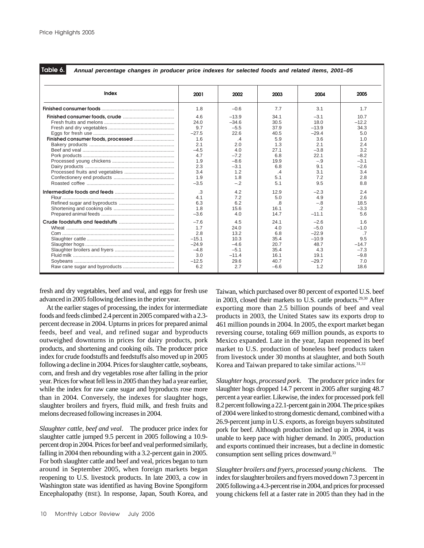**Table 6.**

*Annual percentage changes in producer price indexes for selected foods and related items, 2001–05*

| Index | 2001    | 2002      | 2003      | 2004    | 2005    |
|-------|---------|-----------|-----------|---------|---------|
|       | 1.8     | $-0.6$    | 7.7       | 3.1     | 1.7     |
|       | 4.6     | $-13.9$   | 34.1      | $-3.1$  | 10.7    |
|       | 24.0    | $-34.6$   | 30.5      | 18.0    | $-12.2$ |
|       | 9.7     | $-5.5$    | 37.9      | $-13.9$ | 34.3    |
|       | $-27.5$ | 22.6      | 40.5      | $-29.4$ | 5.0     |
|       | 1.6     | $\cdot$ 4 | 5.9       | 3.6     | 1.0     |
|       | 2.1     | 2.0       | 1.3       | 2.1     | 2.4     |
|       | $-4.5$  | 4.0       | 27.1      | $-3.8$  | 3.2     |
|       | 4.7     | $-7.2$    | 6.8       | 22.1    | $-8.2$  |
|       | 1.9     | $-8.6$    | 19.9      | $-9$    | $-3.1$  |
|       | 2.3     | $-3.1$    | 6.8       | 91      | $-2.6$  |
|       | 3.4     | 1.2       | $\cdot$ 4 | 3.1     | 3.4     |
|       | 1.9     | 1.8       | 5.1       | 7.2     | 2.8     |
|       | $-3.5$  | $-.2$     | 5.1       | 9.5     | 8.8     |
|       | .3      | 4.2       | 12.9      | $-2.3$  | 2.4     |
|       | 4.1     | 7.2       | 5.0       | 4.9     | 2.6     |
|       | 6.3     | 6.2       | .8        | $-.8$   | 18.5    |
|       | 1.8     | 15.6      | 16.1      | $\cdot$ | $-3.3$  |
|       | $-3.6$  | 4.0       | 14.7      | $-11.1$ | 5.6     |
|       | $-7.6$  | 4.5       | 24.1      | $-2.6$  | 1.6     |
|       | 1.7     | 24.0      | 4.0       | $-5.0$  | $-1.0$  |
|       | 2.8     | 13.2      | 6.8       | $-22.9$ | .7      |
|       | $-15.1$ | 10.3      | 35.4      | $-10.9$ | 9.5     |
|       | $-24.9$ | $-4.6$    | 20.7      | 48.7    | $-14.7$ |
|       | $-4.8$  | $-5.1$    | 35.4      | 4.3     | $-7.3$  |
|       | 3.0     | $-114$    | 16.1      | 19.1    | $-9.8$  |
|       | $-12.5$ | 29.6      | 40.7      | $-29.7$ | 7.0     |
|       | 6.2     | 2.7       | $-6.6$    | 1.2     | 18.6    |

fresh and dry vegetables, beef and veal, and eggs for fresh use advanced in 2005 following declines in the prior year.

At the earlier stages of processing, the index for intermediate foods and feeds climbed 2.4 percent in 2005 compared with a 2.3 percent decrease in 2004. Upturns in prices for prepared animal feeds, beef and veal, and refined sugar and byproducts outweighed downturns in prices for dairy products, pork products, and shortening and cooking oils. The producer price index for crude foodstuffs and feedstuffs also moved up in 2005 following a decline in 2004. Prices for slaughter cattle, soybeans, corn, and fresh and dry vegetables rose after falling in the prior year. Prices for wheat fell less in 2005 than they had a year earlier, while the index for raw cane sugar and byproducts rose more than in 2004. Conversely, the indexes for slaughter hogs, slaughter broilers and fryers, fluid milk, and fresh fruits and melons decreased following increases in 2004.

*Slaughter cattle, beef and veal*. The producer price index for slaughter cattle jumped 9.5 percent in 2005 following a 10.9 percent drop in 2004. Prices for beef and veal performed similarly, falling in 2004 then rebounding with a 3.2-percent gain in 2005. For both slaughter cattle and beef and veal, prices began to turn around in September 2005, when foreign markets began reopening to U.S. livestock products. In late 2003, a cow in Washington state was identified as having Bovine Spongiform Encephalopathy (BSE). In response, Japan, South Korea, and Taiwan, which purchased over 80 percent of exported U.S. beef in 2003, closed their markets to U.S. cattle products.29,30 After exporting more than 2.5 billion pounds of beef and veal products in 2003, the United States saw its exports drop to 461 million pounds in 2004. In 2005, the export market began reversing course, totaling 669 million pounds, as exports to Mexico expanded. Late in the year, Japan reopened its beef market to U.S. production of boneless beef products taken from livestock under 30 months at slaughter, and both South Korea and Taiwan prepared to take similar actions.<sup>31,32</sup>

*Slaughter hogs, processed pork*. The producer price index for slaughter hogs dropped 14.7 percent in 2005 after surging 48.7 percent a year earlier. Likewise, the index for processed pork fell 8.2 percent following a 22.1-percent gain in 2004. The price spikes of 2004 were linked to strong domestic demand, combined with a 26.9-percent jump in U.S. exports, as foreign buyers substituted pork for beef. Although production inched up in 2004, it was unable to keep pace with higher demand. In 2005, production and exports continued their increases, but a decline in domestic consumption sent selling prices downward.33

*Slaughter broilers and fryers, processed young chickens*. The index for slaughter broilers and fryers moved down 7.3 percent in 2005 following a 4.3-percent rise in 2004, and prices for processed young chickens fell at a faster rate in 2005 than they had in the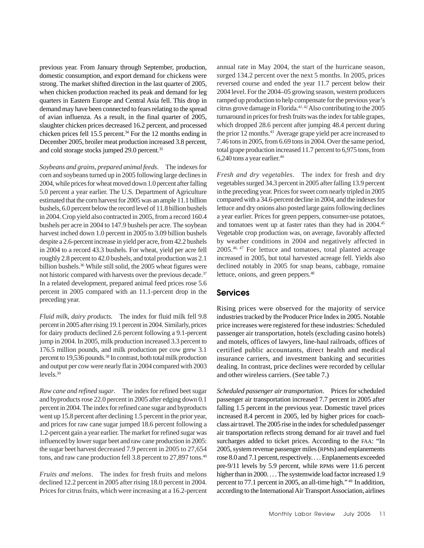previous year. From January through September, production, domestic consumption, and export demand for chickens were strong. The market shifted direction in the last quarter of 2005, when chicken production reached its peak and demand for leg quarters in Eastern Europe and Central Asia fell. This drop in demand may have been connected to fears relating to the spread of avian influenza. As a result, in the final quarter of 2005, slaughter chicken prices decreased 16.2 percent, and processed chicken prices fell 15.5 percent.<sup>34</sup> For the 12 months ending in December 2005, broiler meat production increased 3.8 percent, and cold storage stocks jumped 29.0 percent.<sup>35</sup>

*Soybeans and grains, prepared animal feeds*. The indexes for corn and soybeans turned up in 2005 following large declines in 2004, while prices for wheat moved down 1.0 percent after falling 5.0 percent a year earlier. The U.S. Department of Agriculture estimated that the corn harvest for 2005 was an ample 11.1 billion bushels, 6.0 percent below the record level of 11.8 billion bushels in 2004. Crop yield also contracted in 2005, from a record 160.4 bushels per acre in 2004 to 147.9 bushels per acre. The soybean harvest inched down 1.0 percent in 2005 to 3.09 billion bushels despite a 2.6-percent increase in yield per acre, from 42.2 bushels in 2004 to a record 43.3 bushels. For wheat, yield per acre fell roughly 2.8 percent to 42.0 bushels, and total production was 2.1 billion bushels.<sup>36</sup> While still solid, the 2005 wheat figures were not historic compared with harvests over the previous decade.<sup>37</sup> In a related development, prepared animal feed prices rose 5.6 percent in 2005 compared with an 11.1-percent drop in the preceding year.

*Fluid milk, dairy products*. The index for fluid milk fell 9.8 percent in 2005 after rising 19.1 percent in 2004. Similarly, prices for dairy products declined 2.6 percent following a 9.1-percent jump in 2004. In 2005, milk production increased 3.3 percent to 176.5 million pounds, and milk production per cow grew 3.1 percent to 19,536 pounds.38 In contrast, both total milk production and output per cow were nearly flat in 2004 compared with 2003 levels. $39$ 

*Raw cane and refined sugar*. The index for refined beet sugar and byproducts rose 22.0 percent in 2005 after edging down 0.1 percent in 2004. The index for refined cane sugar and byproducts went up 15.8 percent after declining 1.5 percent in the prior year, and prices for raw cane sugar jumped 18.6 percent following a 1.2-percent gain a year earlier. The market for refined sugar was influenced by lower sugar beet and raw cane production in 2005: the sugar beet harvest decreased 7.9 percent in 2005 to 27,654 tons, and raw cane production fell 3.8 percent to 27,897 tons.<sup>40</sup>

*Fruits and melons*. The index for fresh fruits and melons declined 12.2 percent in 2005 after rising 18.0 percent in 2004. Prices for citrus fruits, which were increasing at a 16.2-percent annual rate in May 2004, the start of the hurricane season, surged 134.2 percent over the next 5 months. In 2005, prices reversed course and ended the year 11.7 percent below their 2004 level. For the 2004–05 growing season, western producers ramped up production to help compensate for the previous year's citrus grove damage in Florida.<sup>41, 42</sup> Also contributing to the 2005 turnaround in prices for fresh fruits was the index for table grapes, which dropped 28.6 percent after jumping 48.4 percent during the prior 12 months.<sup>43</sup> Average grape yield per acre increased to 7.46 tons in 2005, from 6.69 tons in 2004. Over the same period, total grape production increased 11.7 percent to 6,975 tons, from 6,240 tons a year earlier.44

*Fresh and dry vegetables*. The index for fresh and dry vegetables surged 34.3 percent in 2005 after falling 13.9 percent in the preceding year. Prices for sweet corn nearly tripled in 2005 compared with a 34.6-percent decline in 2004, and the indexes for lettuce and dry onions also posted large gains following declines a year earlier. Prices for green peppers, consumer-use potatoes, and tomatoes went up at faster rates than they had in 2004.45 Vegetable crop production was, on average, favorably affected by weather conditions in 2004 and negatively affected in 2005.46, 47 For lettuce and tomatoes, total planted acreage increased in 2005, but total harvested acreage fell. Yields also declined notably in 2005 for snap beans, cabbage, romaine lettuce, onions, and green peppers.<sup>48</sup>

# **Services**

Rising prices were observed for the majority of service industries tracked by the Producer Price Index in 2005. Notable price increases were registered for these industries: Scheduled passenger air transportation, hotels (excluding casino hotels) and motels, offices of lawyers, line-haul railroads, offices of certified public accountants, direct health and medical insurance carriers, and investment banking and securities dealing. In contrast, price declines were recorded by cellular and other wireless carriers. (See table 7.)

*Scheduled passenger air transportation*. Prices for scheduled passenger air transportation increased 7.7 percent in 2005 after falling 1.5 percent in the previous year. Domestic travel prices increased 8.4 percent in 2005, led by higher prices for coachclass air travel. The 2005 rise in the index for scheduled passenger air transportation reflects strong demand for air travel and fuel surcharges added to ticket prices. According to the FAA: "In 2005, system revenue passenger miles (RPMs) and enplanements rose 8.0 and 7.1 percent, respectively. . . . Enplanements exceeded pre-9/11 levels by 5.9 percent, while RPMs were 11.6 percent higher than in 2000. . . . The systemwide load factor increased 1.9 percent to 77.1 percent in 2005, an all-time high." 49 In addition, according to the International Air Transport Association, airlines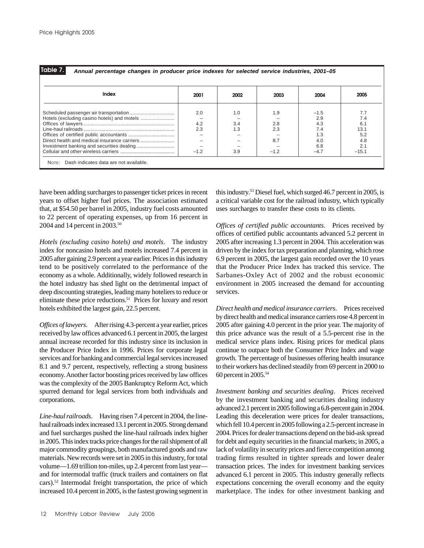| Table |  |  |
|-------|--|--|
|-------|--|--|

*Annual percentage changes in producer price indexes for selected service industries, 2001–05*

| Index | 2001   | 2002 | 2003  | 2004   | 2005    |
|-------|--------|------|-------|--------|---------|
|       | 2.0    | 1.0  | 1.9   | $-1.5$ | 7.7     |
|       |        |      |       | 2.9    | 7.4     |
|       | 4.2    | 3.4  | 2.8   | 4.3    | 6.1     |
|       | 2.3    | 1.3  | 2.3   | 7.4    | 13.1    |
|       |        |      |       |        | 5.2     |
|       |        |      | 8.7   | 4.0    | 4.8     |
|       |        |      |       | 6.8    | 2.1     |
|       | $-1.2$ | 3.9  | $-12$ | $-4.7$ | $-15.1$ |

have been adding surcharges to passenger ticket prices in recent years to offset higher fuel prices. The association estimated that, at \$54.50 per barrel in 2005, industry fuel costs amounted to 22 percent of operating expenses, up from 16 percent in 2004 and 14 percent in 2003.50

*Hotels (excluding casino hotels) and motels*. The industry index for noncasino hotels and motels increased 7.4 percent in 2005 after gaining 2.9 percent a year earlier. Prices in this industry tend to be positively correlated to the performance of the economy as a whole. Additionally, widely followed research in the hotel industry has shed light on the detrimental impact of deep discounting strategies, leading many hoteliers to reduce or eliminate these price reductions.<sup>51</sup> Prices for luxury and resort hotels exhibited the largest gain, 22.5 percent.

*Offices of lawyers*. After rising 4.3-percent a year earlier, prices received by law offices advanced 6.1 percent in 2005, the largest annual increase recorded for this industry since its inclusion in the Producer Price Index in 1996. Prices for corporate legal services and for banking and commercial legal services increased 8.1 and 9.7 percent, respectively, reflecting a strong business economy. Another factor boosting prices received by law offices was the complexity of the 2005 Bankruptcy Reform Act, which spurred demand for legal services from both individuals and corporations.

*Line-haul railroads*. Having risen 7.4 percent in 2004, the linehaul railroads index increased 13.1 percent in 2005. Strong demand and fuel surcharges pushed the line-haul railroads index higher in 2005. This index tracks price changes for the rail shipment of all major commodity groupings, both manufactured goods and raw materials. New records were set in 2005 in this industry, for total volume—1.69 trillion ton-miles, up 2.4 percent from last year and for intermodal traffic (truck trailers and containers on flat cars).52 Intermodal freight transportation, the price of which increased 10.4 percent in 2005, is the fastest growing segment in

this industry.53 Diesel fuel, which surged 46.7 percent in 2005, is a critical variable cost for the railroad industry, which typically uses surcharges to transfer these costs to its clients.

*Offices of certified public accountants*. Prices received by offices of certified public accountants advanced 5.2 percent in 2005 after increasing 1.3 percent in 2004. This acceleration was driven by the index for tax preparation and planning, which rose 6.9 percent in 2005, the largest gain recorded over the 10 years that the Producer Price Index has tracked this service. The Sarbanes-Oxley Act of 2002 and the robust economic environment in 2005 increased the demand for accounting services.

*Direct health and medical insurance carriers*. Prices received by direct health and medical insurance carriers rose 4.8 percent in 2005 after gaining 4.0 percent in the prior year. The majority of this price advance was the result of a 5.5-percent rise in the medical service plans index. Rising prices for medical plans continue to outpace both the Consumer Price Index and wage growth. The percentage of businesses offering health insurance to their workers has declined steadily from 69 percent in 2000 to 60 percent in 2005.54

*Investment banking and securities dealing*. Prices received by the investment banking and securities dealing industry advanced 2.1 percent in 2005 following a 6.8-percent gain in 2004. Leading this deceleration were prices for dealer transactions, which fell 10.4 percent in 2005 following a 2.5-percent increase in 2004. Prices for dealer transactions depend on the bid-ask spread for debt and equity securities in the financial markets; in 2005, a lack of volatility in security prices and fierce competition among trading firms resulted in tighter spreads and lower dealer transaction prices. The index for investment banking services advanced 6.1 percent in 2005. This industry generally reflects expectations concerning the overall economy and the equity marketplace. The index for other investment banking and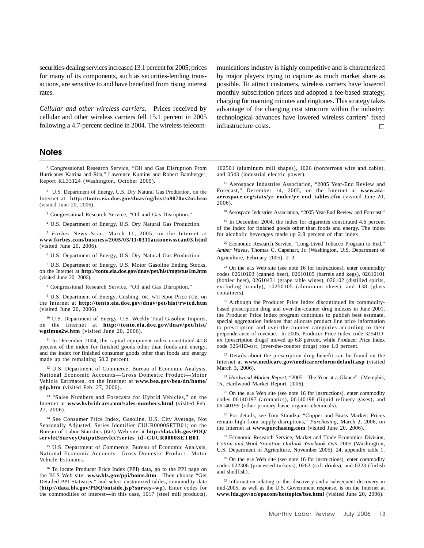securities-dealing services increased 13.1 percent for 2005; prices for many of its components, such as securities-lending transactions, are sensitive to and have benefited from rising interest rates.

*Cellular and other wireless carriers*. Prices received by cellular and other wireless carriers fell 15.1 percent in 2005 following a 4.7-percent decline in 2004. The wireless telecom-

## **Notes**

<sup>1</sup> Congressional Research Service, "Oil and Gas Disruption From Hurricanes Katrina and Rita," Lawrence Kumins and Robert Bamberger, Report RL33124 (Washington, October 2005).

<sup>2</sup> U.S. Department of Energy, U.S. Dry Natural Gas Production, on the Internet at **http://tonto.eia.doe.gov/dnav/ng/hist/n9070us2m.htm** (visited June 20, 2006).

<sup>3</sup> Congressional Research Service, "Oil and Gas Disruption."

4 U.S. Department of Energy, U.S. Dry Natural Gas Production.

<sup>5</sup> *Forbes* News Scan, March 11, 2005, on the Internet at **www.forbes.com/business/2005/03/11/0311autonewsscan03.html** (visited June 20, 2006).

6 U.S. Department of Energy, U.S. Dry Natural Gas Production.

7 U.S. Department of Energy, U.S. Motor Gasoline Ending Stocks, on the Internet at **http://tonto.eia.doe.gov/dnav/pet/hist/mgtstus1m.htm** (visited June 20, 2006).

8 Congressional Research Service, "Oil and Gas Disruption."

9 U.S. Department of Energy, Cushing, OK, WTI Spot Price FOB, on the Internet at **http://tonto.eia.doe.gov/dnav/pet/hist/rwtcd.htm** (visited June 20, 2006).

10 U.S. Department of Energy, U.S. Weekly Total Gasoline Imports, on the Internet at **http://tonto.eia.doe.gov/dnav/pet/hist/ wgtimus2w.htm** (visited June 20, 2006).

<sup>11</sup> In December 2004, the capital equipment index constituted 41.8 percent of the index for finished goods other than foods and energy, and the index for finished consumer goods other than foods and energy made up the remaining 58.2 percent.

<sup>12</sup> U.S. Department of Commerce, Bureau of Economic Analysis, National Economic Accounts—Gross Domestic Product—Motor Vehicle Estimates, on the Internet at **www.bea.gov/bea/dn/home/ gdp.htm** (visited Feb. 27, 2006).

<sup>13</sup> "Sales Numbers and Forecasts for Hybrid Vehicles," on the Internet at **www.hybridcars.com/sales-numbers.html** (visited Feb. 27, 2006).

<sup>14</sup> See Consumer Price Index, Gasoline, U.S. City Average, Not Seasonally Adjusted, Series Identifier CUUR0000SETB01; on the Bureau of Labor Statistics (BLS) Web site at **http://data.bls.gov/PDQ/ servlet/SurveyOutputServlet?series\_id=CUUR0000SETB01**.

<sup>15</sup> U.S. Department of Commerce, Bureau of Economic Analysis, National Economic Accounts—Gross Domestic Product—Motor Vehicle Estimates.

16 To locate Producer Price Index (PPI) data, go to the PPI page on the BLS Web site: **www.bls.gov/ppi/home.htm**. Then choose "Get Detailed PPI Statistics," and select customized tables, commodity data (**http://data.bls.gov/PDQ/outside.jsp?survey=wp**). Enter codes for the commodities of interest—in this case, 1017 (steel mill products),

munications industry is highly competitive and is characterized by major players trying to capture as much market share as possible. To attract customers, wireless carriers have lowered monthly subscription prices and adopted a fee-based strategy, charging for roaming minutes and ringtones. This strategy takes advantage of the changing cost structure within the industry: technological advances have lowered wireless carriers' fixed infrastructure costs. П

102501 (aluminum mill shapes), 1026 (nonferrous wire and cable), and 0543 (industrial electric power).

<sup>17</sup> Aerospace Industries Association, "2005 Year-End Review and Forecast," December 14, 2005, on the Internet at **www.aiaaerospace.org/stats/yr\_ender/yr\_end\_tables.cfm** (visited June 20, 2006).

<sup>18</sup> Aerospace Industries Association, "2005 Year-End Review and Forecast."

<sup>19</sup> In December 2004, the index for cigarettes constituted 4.6 percent of the index for finished goods other than foods and energy. The index for alcoholic beverages made up 2.8 percent of that index.

20 Economic Research Service, "Long-Lived Tobacco Program to End," *Amber Waves,* Thomas C. Capehart, Jr. (Washington, U.S. Department of Agriculture, February 2005), 2–3.

 $21$  On the BLS Web site (see note 16 for instructions), enter commodity codes 02610103 (canned beer), 02610105 (barrels and kegs), 02610101 (bottled beer), 02610431 (grape table wines), 026102 (distilled spirits, excluding brandy), 10250105 (aluminum sheet), and 138 (glass containers).

22 Although the Producer Price Index discontinued its commoditybased prescription drug and over-the-counter drug indexes in June 2001, the Producer Price Index program continues to publish best estimate, special aggregation indexes that allocate product line price information to prescription and over-the-counter categories according to their preponderance of revenue. In 2005, Producer Price Index code 32541D-RX (prescription drugs) moved up 6.8 percent, while Producer Price Index code 32541D-OTC (over-the-counter drugs) rose 1.0 percent.

<sup>23</sup> Details about the prescription drug benefit can be found on the Internet at **www.medicare.gov/medicarereform/default.asp** (visited March 3, 2006).

<sup>24</sup> *Hardwood Market Report*, "2005: The Year at a Glance" (Memphis, TN, Hardwood Market Report, 2006).

 $25$  On the BLS Web site (see note 16 for instructions), enter commodity codes 06140197 (aromatics), 06140198 (liquid refinery gases), and 06140199 (other primary basic organic chemicals).

26 For details, see Tom Stundza, "Copper and Brass Market: Prices remain high from supply disruptions," *Purchasing*, March 2, 2006, on the Internet at **www.purchasing.com** (visited June 20, 2006).

27 Economic Research Service, Market and Trade Economics Division, *Cotton and Wool Situation Outlook Yearbook* CWS–2005 (Washington, U.S. Department of Agriculture, November 2005), 24, appendix table 1.

<sup>28</sup> On the BLS Web site (see note 16 for instructions), enter commodity codes 022306 (processed turkeys), 0262 (soft drinks), and 0223 (finfish and shellfish).

<sup>29</sup> Information relating to this discovery and a subsequent discovery in mid-2005, as well as the U.S. Government response, is on the Internet at **www.fda.gov/oc/opacom/hottopics/bse.html** (visited June 20, 2006).